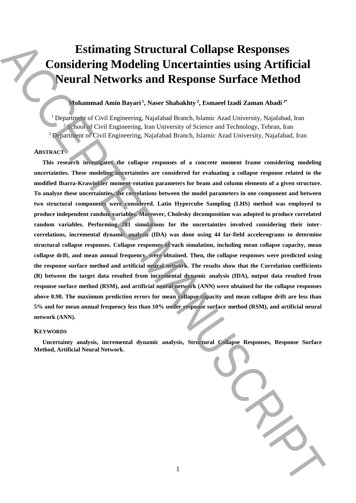# **Estimating Structural Collapse Responses Considering Modeling Uncertainties using Artificial Neural Networks and Response Surface Method**

# **Mohammad Amin Bayari <sup>1</sup> , Naser Shabakhty <sup>2</sup> , Esmaeel Izadi Zaman Abadi 3\***

<sup>1</sup> Department of Civil Engineering, Najafabad Branch, Islamic Azad University, Najafabad, Iran <sup>2</sup> School of Civil Engineering, Iran University of Science and Technology, Tehran, Iran <sup>3</sup> Department of Civil Engineering, Najafabad Branch, Islamic Azad University, Najafabad, Iran

#### **ABSTRACT**

**This research investigates the collapse responses of a concrete moment frame considering modeling uncertainties. These modeling uncertainties are considered for evaluating a collapse response related to the modified Ibarra-Krawinkler moment-rotation parameters for beam and column elements of a given structure. To analyze these uncertainties, the correlations between the model parameters in one component and between two structural components were considered. Latin Hypercube Sampling (LHS) method was employed to produce independent random variables. Moreover, Cholesky decomposition was adopted to produce correlated random variables. Performing 281 simulations for the uncertainties involved considering their intercorrelations, incremental dynamic analysis (IDA) was done using 44 far-field accelerograms to determine structural collapse responses. Collapse responses of each simulation, including mean collapse capacity, mean collapse drift, and mean annual frequency, were obtained. Then, the collapse responses were predicted using the response surface method and artificial neural network. The results show that the Correlation coefficients (R) between the target data resulted from incremental dynamic analysis (IDA), output data resulted from response surface method (RSM), and artificial neural network (ANN) were obtained for the collapse responses above 0.98. The maximum prediction errors for mean collapse capacity and mean collapse drift are less than 5% and for mean annual frequency less than 10% under response surface method (RSM), and artificial neural network (ANN).** Estimating Structural Collapse Responses<br>
Considering Modeling Uncertainties using Artificial<br>
Neural Networks and Response Surface and<br>the anisotropic system and the structure of the control of the structure<br>
( $n_{\text{pump,mean$ 

#### **KEYWORDS**

**Uncertainty analysis, incremental dynamic analysis, Structural Collapse Responses, Response Surface Method, Artificial Neural Network**.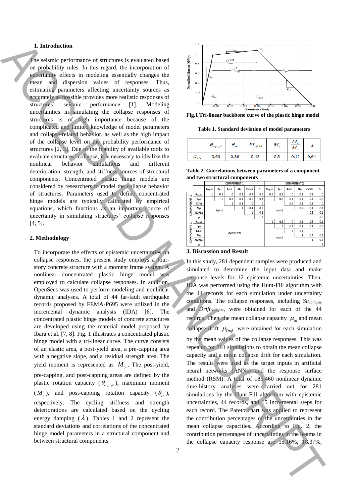## **1. Introduction**

The seismic performance of structures is evaluated based on probability rules. In this regard, the incorporation of uncertainty effects in modeling essentially changes the mean and dispersion values of responses. Thus, estimating parameters affecting uncertainty sources as accurately as possible provides more realistic responses of structures' seismic performance [1]. Modeling uncertainties in simulating the collapse responses of structures is of high importance because of the complicated and limited knowledge of model parameters and collapse-related behavior, as well as the high impact of the collapse level on the probability performance of structures [2, 3]. Due to the inability of available tools to evaluate structures' collapse, it is necessary to idealize the nonlinear behavior simulations and different deterioration, strength, and stiffness sources of structural components. Concentrated plastic hinge models are considered by researchers to model the collapse behavior of structures. Parameters used to define concentrated hinge models are typically calibrated by empirical equations, which functions as an important source of uncertainty in simulating structures' collapse responses [4, 5].

#### **2. Methodology**

To incorporate the effects of epistemic uncertainties on collapse responses, the present study employs a fourstory concrete structure with a moment frame system. A nonlinear concentrated plastic hinge model was employed to calculate collapse responses. In addition, OpenSees was used to perform modeling and nonlinear dynamic analyses. A total of 44 far-fault earthquake records proposed by FEMA-P695 were utilized in the incremental dynamic analysis (IDA) [6]. The concentrated plastic hinge models of concrete structures are developed using the material model proposed by Ibara et al. [7, 8]. Fig. 1 illustrates a concentrated plastic hinge model with a tri-linear curve. The curve consists of an elastic area, a post-yield area, a pre-capping area with a negative slope, and a residual strength area. The yield moment is represented as  $M<sub>y</sub>$ , The post-yield, pre-capping, and post-capping areas are defined by the plastic rotation capacity ( $\theta_{cap,p}$ *i*), maximum moment  $(M_c)$ , and post-capping rotation capacity  $(\theta_{pc})$ , respectively. The cycling stiffness and strength deteriorations are calculated based on the cycling energy damping  $(\lambda)$ . Tables 1 and 2 represent the standard deviations and correlations of the concentrated hinge model parameters in a structural component and between structural components The collapse collapse capacity response by the collapse capacity response are not all the collapse capacity response and the collapse capacity response are not all the collapse capacity response are not all the collapse c



**Fig.1 Tri-linear backbone curve of the plastic hinge model**

**Table 1. Standard deviation of model parameters**

|                  | $\theta_{cap,pl}$ | $\theta_{\rm pc}$ | $EI_{\mathit{stf}\,40}$ | ΙИ  | М<br>М | χı   |
|------------------|-------------------|-------------------|-------------------------|-----|--------|------|
| $\sigma_{_{LN}}$ | 0.63              | 0.86              | 0.42                    | 0.3 | 0.12   | 0.64 |

**Table 2. Correlations between parameters of a component and two structural components**

|              |                             | <b>COMPONENT 1</b>                  |                       |                    |              |              |              | <b>COMPONENT 2</b> |                |                   |              |              |              |
|--------------|-----------------------------|-------------------------------------|-----------------------|--------------------|--------------|--------------|--------------|--------------------|----------------|-------------------|--------------|--------------|--------------|
|              |                             | $\theta_{cap,pl1}$                  | $\theta_{\text{pcl}}$ | EI <sub>stfl</sub> | $M_{v1}$     | $M_c/M_{v1}$ | $\gamma_1$   | $\theta_{cap,pl2}$ | $\theta_{pc2}$ | EI <sub>st2</sub> | $M_{v2}$     | $M_c/M_{v2}$ | $\gamma_2$   |
| $\mathbf{r}$ | $\theta_{cap,all}$          | 1                                   | 0.3                   | $\Omega$           | 0.1          | 0.3          | 0.1          | 0.6                | 0.3            | $\mathbf{0}$      | 0.1          | 0.2          | $\mathbf{0}$ |
|              | $\theta_{\rm pol}$          |                                     | 1                     | 0.1                | 0.1          | 0.1          | 0.3          |                    | 0.8            | 0.1               | 0.1          | 0.1          | 0.3          |
|              | <b>EIstf</b>                |                                     |                       | 1                  | 0.1          | 0            | 0            |                    |                |                   | 0.1          | 0.1          | 0            |
| COMPONENT    | $M_{\rm v1}$                |                                     |                       |                    | $\mathbf{1}$ | 0.4          | 0.1          |                    |                |                   | 0.9          | 0.4          | 0.1          |
|              | $M_c/M_{v1}$                |                                     | (sym.)                |                    |              | 1            | 0.2          |                    | (sym.)         |                   |              | 0.8          | 0.1          |
|              | 71                          |                                     |                       |                    |              |              | $\mathbf{1}$ |                    |                |                   |              |              | 0.6          |
| $\sim$       | $\theta_{\texttt{cap,pl2}}$ |                                     |                       |                    |              |              |              | 1                  | 0.3            | 0                 | 0.1          | 0.3          | 0.1          |
|              | $\theta_{pc2}$              |                                     |                       |                    |              |              |              |                    | 1              | 0.1               | 0.1          | 0.1          | 0.3          |
|              | EI <sub>vt0</sub>           | (symmetric)<br>$M_{v2}$<br>$\gamma$ |                       |                    |              |              |              | 0.1<br>1           |                |                   | $\mathbf{0}$ | $\mathbf 0$  |              |
|              |                             |                                     |                       |                    |              |              |              |                    |                |                   | 1            | 0.4          | 0.1          |
| COMPONENT    | $M_c/M_{v2}$                |                                     |                       |                    |              |              |              | (sym.)             |                |                   |              | 1            | 0.2          |
|              |                             |                                     |                       |                    |              |              |              |                    |                |                   |              |              | 1            |

## **3. Discussion and Result**

In this study, 281 dependent samples were produced and simulated to determine the input data and make response levels for 12 epistemic uncertainties. Then, IDA was performed using the Hunt-Fill algorithm with the 44 records for each simulation under uncertainty conditions. The collapse responses, including *Sacollapse* and *Driftcollapse*, were obtained for each of the 44 records. Then, the mean collapse capacity  $\mu_{sa}$  and mean collapse drift  $\mu_{Drift}$  were obtained for each simulation by the mean values of the collapse responses. This was repeated for 281 simulations to obtain the mean collapse capacity and a mean collapse drift for each simulation. The results were used as the target inputs in artificial neural networks (ANNs) and the response surface method (RSM). A total of 185,460 nonlinear dynamic time-history analyses were carried out for 281 simulations by the Hunt-Fill algorithm with epistemic uncertainties, 44 records, and 15 incremental steps for each record. The Pareto chart was applied to represent the contribution percentages of the uncertainties in the mean collapse capacities. According to Fig. 2, the contribution percentages of uncertainties in the beams in